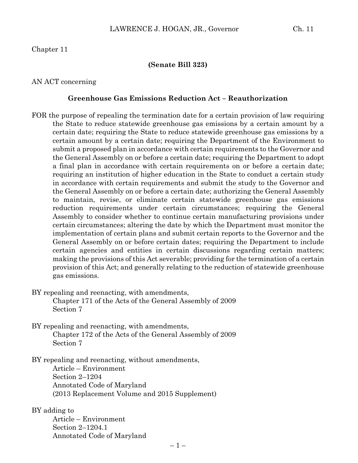#### **(Senate Bill 323)**

#### AN ACT concerning

#### **Greenhouse Gas Emissions Reduction Act – Reauthorization**

- FOR the purpose of repealing the termination date for a certain provision of law requiring the State to reduce statewide greenhouse gas emissions by a certain amount by a certain date; requiring the State to reduce statewide greenhouse gas emissions by a certain amount by a certain date; requiring the Department of the Environment to submit a proposed plan in accordance with certain requirements to the Governor and the General Assembly on or before a certain date; requiring the Department to adopt a final plan in accordance with certain requirements on or before a certain date; requiring an institution of higher education in the State to conduct a certain study in accordance with certain requirements and submit the study to the Governor and the General Assembly on or before a certain date; authorizing the General Assembly to maintain, revise, or eliminate certain statewide greenhouse gas emissions reduction requirements under certain circumstances; requiring the General Assembly to consider whether to continue certain manufacturing provisions under certain circumstances; altering the date by which the Department must monitor the implementation of certain plans and submit certain reports to the Governor and the General Assembly on or before certain dates; requiring the Department to include certain agencies and entities in certain discussions regarding certain matters; making the provisions of this Act severable; providing for the termination of a certain provision of this Act; and generally relating to the reduction of statewide greenhouse gas emissions.
- BY repealing and reenacting, with amendments, Chapter 171 of the Acts of the General Assembly of 2009 Section 7
- BY repealing and reenacting, with amendments, Chapter 172 of the Acts of the General Assembly of 2009 Section 7
- BY repealing and reenacting, without amendments,

Article – Environment Section 2–1204 Annotated Code of Maryland (2013 Replacement Volume and 2015 Supplement)

#### BY adding to

Article – Environment Section 2–1204.1 Annotated Code of Maryland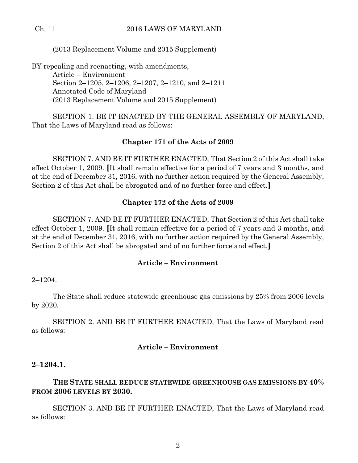(2013 Replacement Volume and 2015 Supplement)

BY repealing and reenacting, with amendments, Article – Environment Section 2–1205, 2–1206, 2–1207, 2–1210, and 2–1211 Annotated Code of Maryland (2013 Replacement Volume and 2015 Supplement)

SECTION 1. BE IT ENACTED BY THE GENERAL ASSEMBLY OF MARYLAND, That the Laws of Maryland read as follows:

#### **Chapter 171 of the Acts of 2009**

SECTION 7. AND BE IT FURTHER ENACTED, That Section 2 of this Act shall take effect October 1, 2009. **[**It shall remain effective for a period of 7 years and 3 months, and at the end of December 31, 2016, with no further action required by the General Assembly, Section 2 of this Act shall be abrogated and of no further force and effect.**]**

#### **Chapter 172 of the Acts of 2009**

SECTION 7. AND BE IT FURTHER ENACTED, That Section 2 of this Act shall take effect October 1, 2009. **[**It shall remain effective for a period of 7 years and 3 months, and at the end of December 31, 2016, with no further action required by the General Assembly, Section 2 of this Act shall be abrogated and of no further force and effect.**]**

#### **Article – Environment**

2–1204.

The State shall reduce statewide greenhouse gas emissions by 25% from 2006 levels by 2020.

SECTION 2. AND BE IT FURTHER ENACTED, That the Laws of Maryland read as follows:

#### **Article – Environment**

#### **2–1204.1.**

#### **THE STATE SHALL REDUCE STATEWIDE GREENHOUSE GAS EMISSIONS BY 40% FROM 2006 LEVELS BY 2030.**

SECTION 3. AND BE IT FURTHER ENACTED, That the Laws of Maryland read as follows: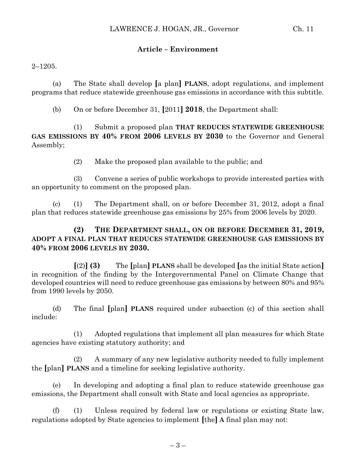# **Article – Environment**

2–1205.

(a) The State shall develop **[**a plan**] PLANS**, adopt regulations, and implement programs that reduce statewide greenhouse gas emissions in accordance with this subtitle.

(b) On or before December 31, **[**2011**] 2018**, the Department shall:

(1) Submit a proposed plan **THAT REDUCES STATEWIDE GREENHOUSE GAS EMISSIONS BY 40% FROM 2006 LEVELS BY 2030** to the Governor and General Assembly;

(2) Make the proposed plan available to the public; and

(3) Convene a series of public workshops to provide interested parties with an opportunity to comment on the proposed plan.

(c) (1) The Department shall, on or before December 31, 2012, adopt a final plan that reduces statewide greenhouse gas emissions by 25% from 2006 levels by 2020.

# **(2) THE DEPARTMENT SHALL, ON OR BEFORE DECEMBER 31, 2019, ADOPT A FINAL PLAN THAT REDUCES STATEWIDE GREENHOUSE GAS EMISSIONS BY 40% FROM 2006 LEVELS BY 2030.**

**[**(2)**] (3)** The **[**plan**] PLANS** shall be developed **[**as the initial State action**]** in recognition of the finding by the Intergovernmental Panel on Climate Change that developed countries will need to reduce greenhouse gas emissions by between 80% and 95% from 1990 levels by 2050.

(d) The final **[**plan**] PLANS** required under subsection (c) of this section shall include:

(1) Adopted regulations that implement all plan measures for which State agencies have existing statutory authority; and

(2) A summary of any new legislative authority needed to fully implement the **[**plan**] PLANS** and a timeline for seeking legislative authority.

(e) In developing and adopting a final plan to reduce statewide greenhouse gas emissions, the Department shall consult with State and local agencies as appropriate.

(f) (1) Unless required by federal law or regulations or existing State law, regulations adopted by State agencies to implement **[**the**] A** final plan may not: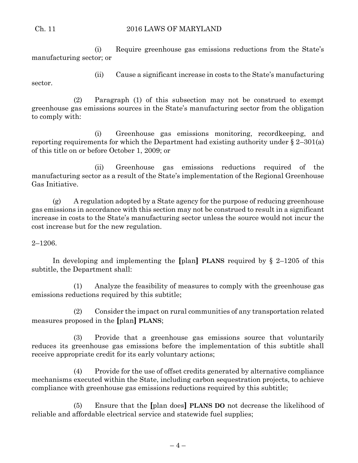(i) Require greenhouse gas emissions reductions from the State's manufacturing sector; or

sector.

(ii) Cause a significant increase in costs to the State's manufacturing

(2) Paragraph (1) of this subsection may not be construed to exempt greenhouse gas emissions sources in the State's manufacturing sector from the obligation to comply with:

(i) Greenhouse gas emissions monitoring, recordkeeping, and reporting requirements for which the Department had existing authority under  $\S 2-301(a)$ of this title on or before October 1, 2009; or

(ii) Greenhouse gas emissions reductions required of the manufacturing sector as a result of the State's implementation of the Regional Greenhouse Gas Initiative.

 $(g)$  A regulation adopted by a State agency for the purpose of reducing greenhouse gas emissions in accordance with this section may not be construed to result in a significant increase in costs to the State's manufacturing sector unless the source would not incur the cost increase but for the new regulation.

#### 2–1206.

In developing and implementing the **[**plan**] PLANS** required by § 2–1205 of this subtitle, the Department shall:

(1) Analyze the feasibility of measures to comply with the greenhouse gas emissions reductions required by this subtitle;

(2) Consider the impact on rural communities of any transportation related measures proposed in the **[**plan**] PLANS**;

(3) Provide that a greenhouse gas emissions source that voluntarily reduces its greenhouse gas emissions before the implementation of this subtitle shall receive appropriate credit for its early voluntary actions;

(4) Provide for the use of offset credits generated by alternative compliance mechanisms executed within the State, including carbon sequestration projects, to achieve compliance with greenhouse gas emissions reductions required by this subtitle;

(5) Ensure that the **[**plan does**] PLANS DO** not decrease the likelihood of reliable and affordable electrical service and statewide fuel supplies;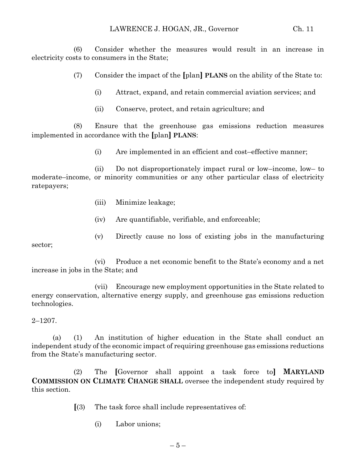(6) Consider whether the measures would result in an increase in electricity costs to consumers in the State;

(7) Consider the impact of the **[**plan**] PLANS** on the ability of the State to:

(i) Attract, expand, and retain commercial aviation services; and

(ii) Conserve, protect, and retain agriculture; and

(8) Ensure that the greenhouse gas emissions reduction measures implemented in accordance with the **[**plan**] PLANS**:

(i) Are implemented in an efficient and cost–effective manner;

(ii) Do not disproportionately impact rural or low–income, low– to moderate–income, or minority communities or any other particular class of electricity ratepayers;

- (iii) Minimize leakage;
- (iv) Are quantifiable, verifiable, and enforceable;
- (v) Directly cause no loss of existing jobs in the manufacturing

sector;

(vi) Produce a net economic benefit to the State's economy and a net increase in jobs in the State; and

(vii) Encourage new employment opportunities in the State related to energy conservation, alternative energy supply, and greenhouse gas emissions reduction technologies.

2–1207.

(a) (1) An institution of higher education in the State shall conduct an independent study of the economic impact of requiring greenhouse gas emissions reductions from the State's manufacturing sector.

(2) The **[**Governor shall appoint a task force to**] MARYLAND COMMISSION ON CLIMATE CHANGE SHALL** oversee the independent study required by this section.

**[**(3) The task force shall include representatives of:

(i) Labor unions;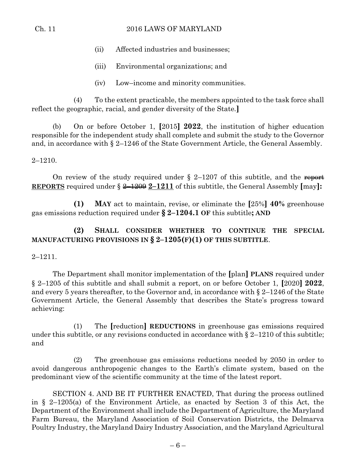- (ii) Affected industries and businesses;
- (iii) Environmental organizations; and
- (iv) Low–income and minority communities.

(4) To the extent practicable, the members appointed to the task force shall reflect the geographic, racial, and gender diversity of the State.**]**

(b) On or before October 1, **[**2015**] 2022**, the institution of higher education responsible for the independent study shall complete and submit the study to the Governor and, in accordance with § 2–1246 of the State Government Article, the General Assembly.

#### 2–1210.

On review of the study required under  $\S$  2-1207 of this subtitle, and the report **REPORTS** required under  $\S 2$ –1209 2–1211 of this subtitle, the General Assembly  $\text{[may]}$ :

**(1) MAY** act to maintain, revise, or eliminate the **[**25%**] 40%** greenhouse gas emissions reduction required under **§ 2–1204.1 OF** this subtitle**; AND**

# **(2) SHALL CONSIDER WHETHER TO CONTINUE THE SPECIAL MANUFACTURING PROVISIONS IN § 2–1205(F)(1) OF THIS SUBTITLE**.

# 2–1211.

The Department shall monitor implementation of the **[**plan**] PLANS** required under § 2–1205 of this subtitle and shall submit a report, on or before October 1, **[**2020**] 2022**, and every 5 years thereafter, to the Governor and, in accordance with  $\S 2-1246$  of the State Government Article, the General Assembly that describes the State's progress toward achieving:

(1) The **[**reduction**] REDUCTIONS** in greenhouse gas emissions required under this subtitle, or any revisions conducted in accordance with  $\S 2-1210$  of this subtitle; and

(2) The greenhouse gas emissions reductions needed by 2050 in order to avoid dangerous anthropogenic changes to the Earth's climate system, based on the predominant view of the scientific community at the time of the latest report.

SECTION 4. AND BE IT FURTHER ENACTED, That during the process outlined in § 2–1205(a) of the Environment Article, as enacted by Section 3 of this Act, the Department of the Environment shall include the Department of Agriculture, the Maryland Farm Bureau, the Maryland Association of Soil Conservation Districts, the Delmarva Poultry Industry, the Maryland Dairy Industry Association, and the Maryland Agricultural